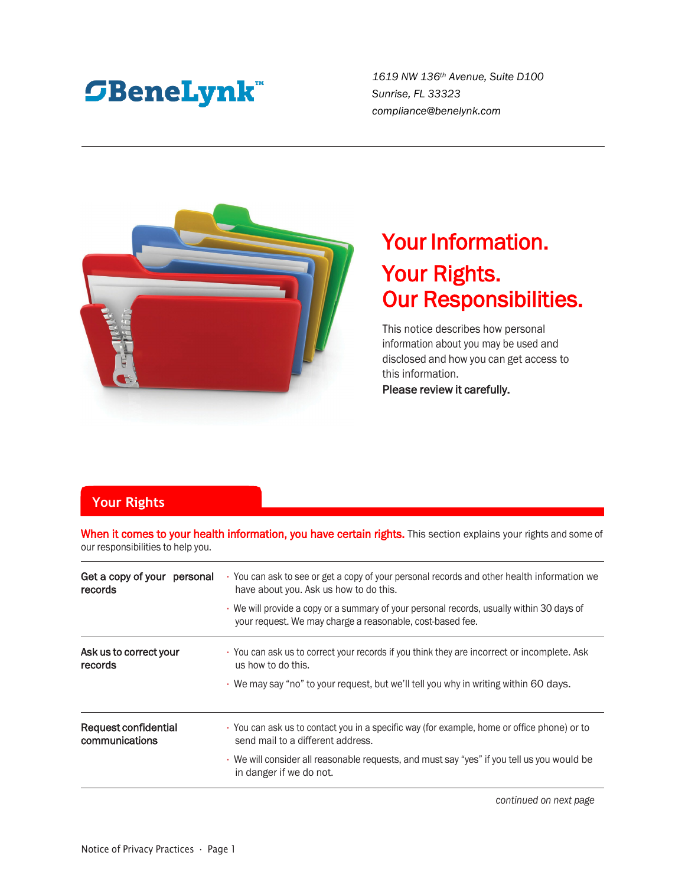# **SBeneLynk**

*1619 NW 136th Avenue, Suite D100 Sunrise, FL 33323 compliance@benelynk.com*



## Your Information. Your Rights. Our Responsibilities.

This notice describes how personal information about you may be used and disclosed and how you can get access to this information.

Please review it carefully.

## **Your Rights**

When it comes to your health information, you have certain rights. This section explains your rights and some of our responsibilities to help you.

| · You can ask to see or get a copy of your personal records and other health information we<br>have about you. Ask us how to do this.<br>• We will provide a copy or a summary of your personal records, usually within 30 days of<br>your request. We may charge a reasonable, cost-based fee. |
|-------------------------------------------------------------------------------------------------------------------------------------------------------------------------------------------------------------------------------------------------------------------------------------------------|
| • You can ask us to correct your records if you think they are incorrect or incomplete. Ask<br>us how to do this.<br>. We may say "no" to your request, but we'll tell you why in writing within 60 days.                                                                                       |
| • You can ask us to contact you in a specific way (for example, home or office phone) or to<br>send mail to a different address.<br>• We will consider all reasonable requests, and must say "yes" if you tell us you would be<br>in danger if we do not.                                       |
|                                                                                                                                                                                                                                                                                                 |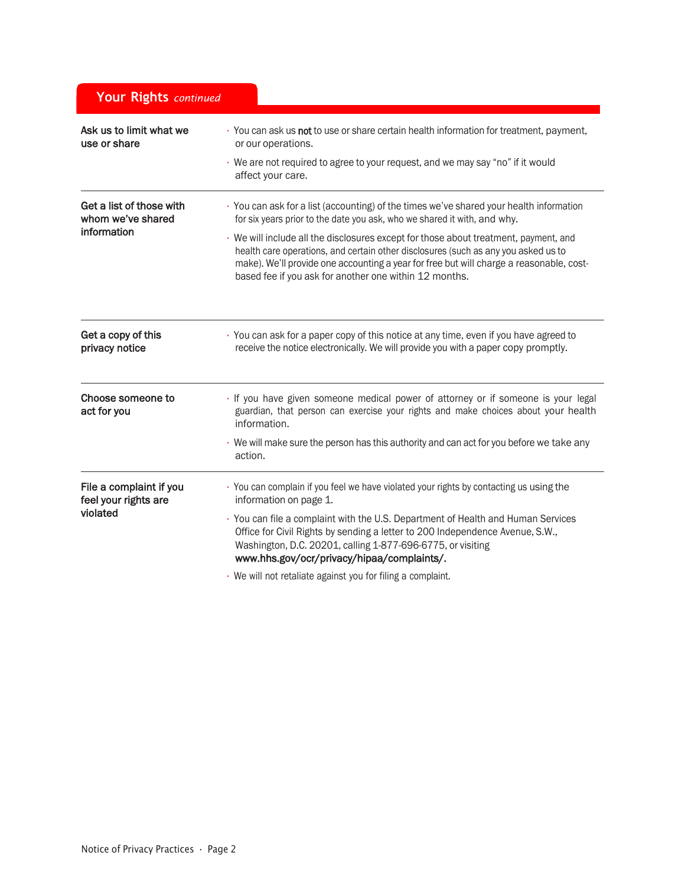| Your Rights continued                           |                                                                                                                                                                                                                                                                                                                                 |
|-------------------------------------------------|---------------------------------------------------------------------------------------------------------------------------------------------------------------------------------------------------------------------------------------------------------------------------------------------------------------------------------|
| Ask us to limit what we<br>use or share         | · You can ask us not to use or share certain health information for treatment, payment,<br>or our operations.                                                                                                                                                                                                                   |
|                                                 | · We are not required to agree to your request, and we may say "no" if it would<br>affect your care.                                                                                                                                                                                                                            |
| Get a list of those with<br>whom we've shared   | · You can ask for a list (accounting) of the times we've shared your health information<br>for six years prior to the date you ask, who we shared it with, and why.                                                                                                                                                             |
| information                                     | · We will include all the disclosures except for those about treatment, payment, and<br>health care operations, and certain other disclosures (such as any you asked us to<br>make). We'll provide one accounting a year for free but will charge a reasonable, cost-<br>based fee if you ask for another one within 12 months. |
| Get a copy of this<br>privacy notice            | · You can ask for a paper copy of this notice at any time, even if you have agreed to<br>receive the notice electronically. We will provide you with a paper copy promptly.                                                                                                                                                     |
| Choose someone to<br>act for you                | · If you have given someone medical power of attorney or if someone is your legal<br>guardian, that person can exercise your rights and make choices about your health<br>information.                                                                                                                                          |
|                                                 | We will make sure the person has this authority and can act for you before we take any<br>action.                                                                                                                                                                                                                               |
| File a complaint if you<br>feel your rights are | · You can complain if you feel we have violated your rights by contacting us using the<br>information on page 1.                                                                                                                                                                                                                |
| violated                                        | · You can file a complaint with the U.S. Department of Health and Human Services<br>Office for Civil Rights by sending a letter to 200 Independence Avenue, S.W.,<br>Washington, D.C. 20201, calling 1-877-696-6775, or visiting<br>www.hhs.gov/ocr/privacy/hipaa/complaints/.                                                  |
|                                                 | · We will not retaliate against you for filing a complaint.                                                                                                                                                                                                                                                                     |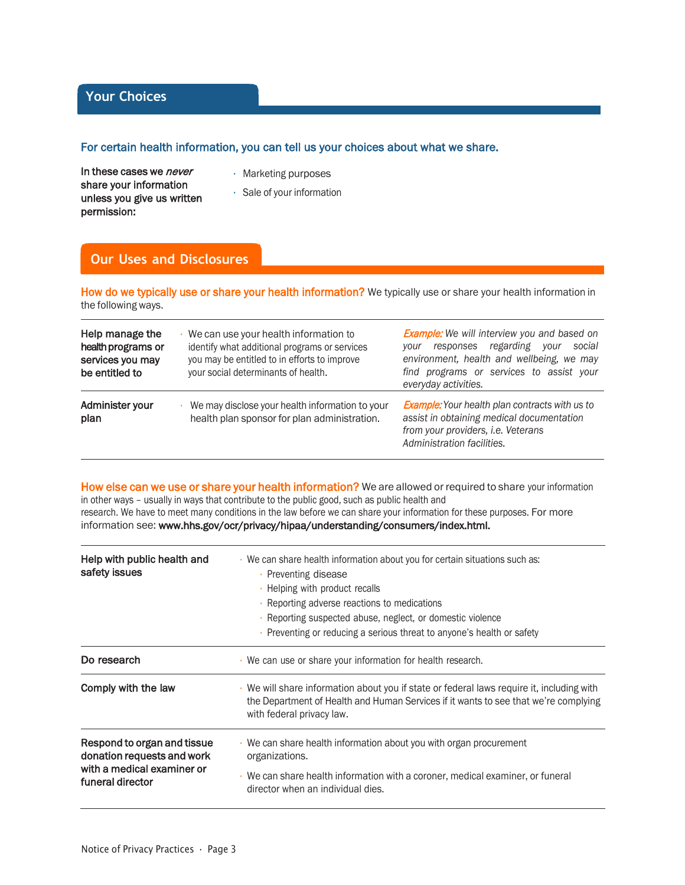## **Your Choices**

#### For certain health information, you can tell us your choices about what we share.

In these cases we *never* share your information unless you give us written permission:

- Marketing purposes
- Sale of your information

## **Our Uses and Disclosures**

How do we typically use or share your health information? We typically use or share your health information in the following ways.

| Help manage the<br>health programs or<br>services you may<br>be entitled to | We can use your health information to<br>identify what additional programs or services<br>you may be entitled to in efforts to improve<br>your social determinants of health. | <b>Example:</b> We will interview you and based on<br>responses regarding your<br>social<br>vour<br>environment, health and wellbeing, we may<br>find programs or services to assist your<br>everyday activities. |
|-----------------------------------------------------------------------------|-------------------------------------------------------------------------------------------------------------------------------------------------------------------------------|-------------------------------------------------------------------------------------------------------------------------------------------------------------------------------------------------------------------|
| Administer your<br>plan                                                     | We may disclose your health information to your<br>health plan sponsor for plan administration.                                                                               | <b>Example:</b> Your health plan contracts with us to<br>assist in obtaining medical documentation<br>from your providers, i.e. Veterans<br>Administration facilities.                                            |

How else can we use or share your health information? We are allowed or required to share your information in other ways – usually in ways that contribute to the public good, such as public health and research. We have to meet many conditions in the law before we can share your information for these purposes. For more information see: [www.hhs.gov/ocr/privacy/hipaa/understanding/consumers/index.html.](http://www.hhs.gov/ocr/privacy/hipaa/understanding/consumers/index.html)

| Help with public health and<br>safety issues                                                                | · We can share health information about you for certain situations such as:<br>• Preventing disease<br>• Helping with product recalls<br>· Reporting adverse reactions to medications<br>· Reporting suspected abuse, neglect, or domestic violence<br>• Preventing or reducing a serious threat to anyone's health or safety |  |
|-------------------------------------------------------------------------------------------------------------|-------------------------------------------------------------------------------------------------------------------------------------------------------------------------------------------------------------------------------------------------------------------------------------------------------------------------------|--|
| Do research                                                                                                 | • We can use or share your information for health research.                                                                                                                                                                                                                                                                   |  |
| Comply with the law                                                                                         | We will share information about you if state or federal laws require it, including with<br>the Department of Health and Human Services if it wants to see that we're complying<br>with federal privacy law.                                                                                                                   |  |
| Respond to organ and tissue<br>donation requests and work<br>with a medical examiner or<br>funeral director | . We can share health information about you with organ procurement<br>organizations.<br>· We can share health information with a coroner, medical examiner, or funeral<br>director when an individual dies.                                                                                                                   |  |